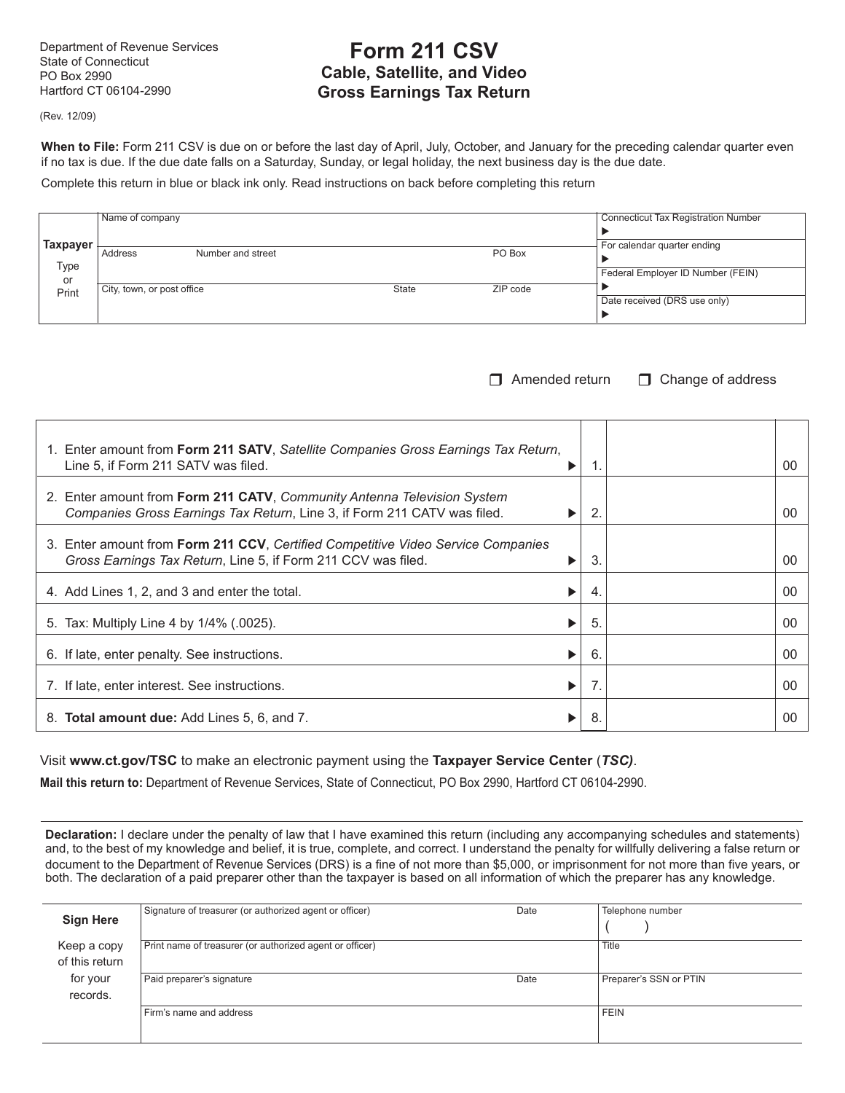Department of Revenue Services State of Connecticut PO Box 2990 Hartford CT 06104-2990

# **Form 211 CSV Cable, Satellite, and Video Gross Earnings Tax Return**

(Rev. 12/09)

When to File: Form 211 CSV is due on or before the last day of April, July, October, and January for the preceding calendar quarter even if no tax is due. If the due date falls on a Saturday, Sunday, or legal holiday, the next business day is the due date.

Complete this return in blue or black ink only. Read instructions on back before completing this return

|            | Name of company              |       |          | <b>Connecticut Tax Registration Number</b> |
|------------|------------------------------|-------|----------|--------------------------------------------|
|            |                              |       |          |                                            |
| Taxpayer   | Address<br>Number and street |       | PO Box   | For calendar quarter ending                |
| Type<br>or |                              |       |          | Federal Employer ID Number (FEIN)          |
| Print      | City, town, or post office   | State | ZIP code | Date received (DRS use only)               |

 $\Box$  Amended return  $\Box$  Change of address

| 1. Enter amount from Form 211 SATV, Satellite Companies Gross Earnings Tax Return,<br>Line 5, if Form 211 SATV was filed.                           | 1.           | 00 |
|-----------------------------------------------------------------------------------------------------------------------------------------------------|--------------|----|
| 2. Enter amount from Form 211 CATV, Community Antenna Television System<br>Companies Gross Earnings Tax Return, Line 3, if Form 211 CATV was filed. | $\mathbf{2}$ | 00 |
| 3. Enter amount from Form 211 CCV, Certified Competitive Video Service Companies<br>Gross Earnings Tax Return, Line 5, if Form 211 CCV was filed.   | 3            | 00 |
| 4. Add Lines 1, 2, and 3 and enter the total.                                                                                                       | 4.           | 00 |
| 5. Tax: Multiply Line 4 by 1/4% (.0025).                                                                                                            | 5.           | 00 |
| 6. If late, enter penalty. See instructions.                                                                                                        | 6.           | 00 |
| 7. If late, enter interest. See instructions.                                                                                                       | 7.           | 00 |
| 8. <b>Total amount due:</b> Add Lines 5, 6, and 7.                                                                                                  | 8.           | 00 |

Visit **www.ct.gov/TSC** to make an electronic payment using the **Taxpayer Service Center** (*TSC)*.

**Mail this return to:** Department of Revenue Services, State of Connecticut, PO Box 2990, Hartford CT 06104-2990.

**Declaration:** I declare under the penalty of law that I have examined this return (including any accompanying schedules and statements) and, to the best of my knowledge and belief, it is true, complete, and correct. I understand the penalty for willfully delivering a false return or document to the Department of Revenue Services (DRS) is a fine of not more than \$5,000, or imprisonment for not more than five years, or both. The declaration of a paid preparer other than the taxpayer is based on all information of which the preparer has any knowledge.

| <b>Sign Here</b>              | Signature of treasurer (or authorized agent or officer)  | Date | Telephone number       |
|-------------------------------|----------------------------------------------------------|------|------------------------|
| Keep a copy<br>of this return | Print name of treasurer (or authorized agent or officer) |      | <b>Title</b>           |
| for your<br>records.          | Paid preparer's signature                                | Date | Preparer's SSN or PTIN |
|                               | Firm's name and address                                  |      | <b>FEIN</b>            |